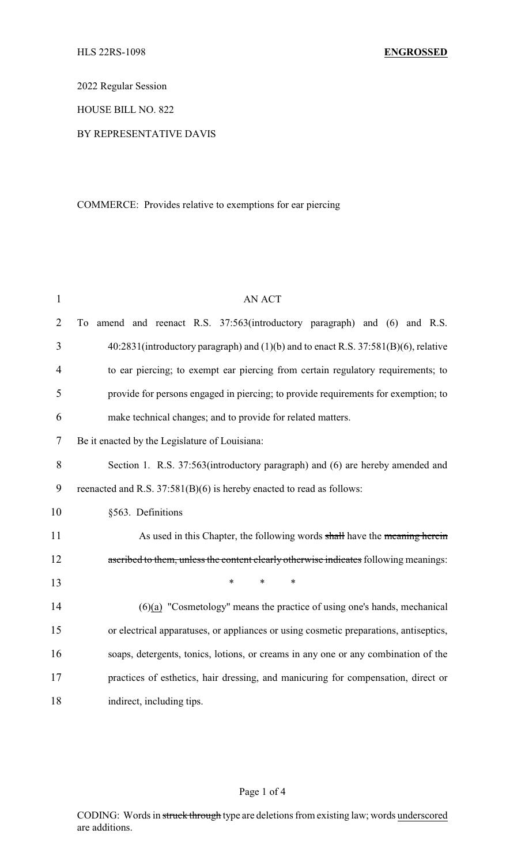2022 Regular Session

HOUSE BILL NO. 822

#### BY REPRESENTATIVE DAVIS

# COMMERCE: Provides relative to exemptions for ear piercing

| $\mathbf{1}$   | <b>AN ACT</b>                                                                         |
|----------------|---------------------------------------------------------------------------------------|
| $\overline{2}$ | amend and reenact R.S. 37:563(introductory paragraph) and (6) and R.S.<br>To          |
| 3              | 40:2831(introductory paragraph) and (1)(b) and to enact R.S. 37:581(B)(6), relative   |
| 4              | to ear piercing; to exempt ear piercing from certain regulatory requirements; to      |
| 5              | provide for persons engaged in piercing; to provide requirements for exemption; to    |
| 6              | make technical changes; and to provide for related matters.                           |
| $\tau$         | Be it enacted by the Legislature of Louisiana:                                        |
| 8              | Section 1. R.S. 37:563(introductory paragraph) and (6) are hereby amended and         |
| 9              | reenacted and R.S. 37:581(B)(6) is hereby enacted to read as follows:                 |
| 10             | §563. Definitions                                                                     |
| 11             | As used in this Chapter, the following words shall have the meaning herein            |
| 12             | ascribed to them, unless the content clearly otherwise indicates following meanings:  |
| 13             | $\ast$<br>$\ast$<br>$\ast$                                                            |
| 14             | $(6)(a)$ "Cosmetology" means the practice of using one's hands, mechanical            |
| 15             | or electrical apparatuses, or appliances or using cosmetic preparations, antiseptics, |
| 16             | soaps, detergents, tonics, lotions, or creams in any one or any combination of the    |
| 17             | practices of esthetics, hair dressing, and manicuring for compensation, direct or     |
| 18             | indirect, including tips.                                                             |

# Page 1 of 4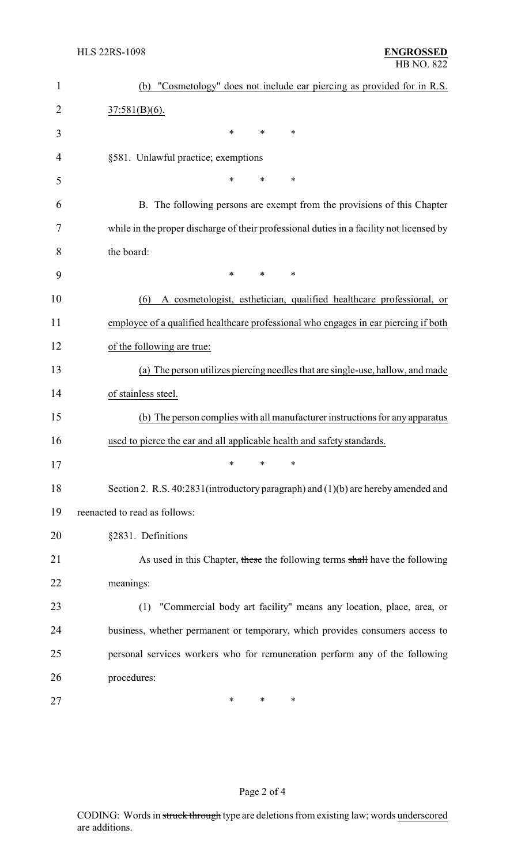| $\mathbf{1}$ | "Cosmetology" does not include ear piercing as provided for in R.S.<br>(b)               |
|--------------|------------------------------------------------------------------------------------------|
| 2            | $37:581(B)(6)$ .                                                                         |
| 3            | *<br>∗<br>∗                                                                              |
| 4            | §581. Unlawful practice; exemptions                                                      |
| 5            | ∗<br>*<br>∗                                                                              |
| 6            | B. The following persons are exempt from the provisions of this Chapter                  |
| 7            | while in the proper discharge of their professional duties in a facility not licensed by |
| 8            | the board:                                                                               |
| 9            | *<br>$\ast$<br>$\ast$                                                                    |
| 10           | A cosmetologist, esthetician, qualified healthcare professional, or<br>(6)               |
| 11           | employee of a qualified healthcare professional who engages in ear piercing if both      |
| 12           | of the following are true:                                                               |
| 13           | (a) The person utilizes piercing needles that are single-use, hallow, and made           |
| 14           | of stainless steel.                                                                      |
| 15           | (b) The person complies with all manufacturer instructions for any apparatus             |
| 16           | used to pierce the ear and all applicable health and safety standards.                   |
| 17           | ∗<br>∗<br>∗                                                                              |
| 18           | Section 2. R.S. 40:2831(introductory paragraph) and (1)(b) are hereby amended and        |
| 19           | reenacted to read as follows:                                                            |
| 20           | §2831. Definitions                                                                       |
| 21           | As used in this Chapter, these the following terms shall have the following              |
| 22           | meanings:                                                                                |
| 23           | "Commercial body art facility" means any location, place, area, or<br>(1)                |
| 24           | business, whether permanent or temporary, which provides consumers access to             |
| 25           | personal services workers who for remuneration perform any of the following              |
| 26           | procedures:                                                                              |
| 27           | $\ast$<br>*<br>∗                                                                         |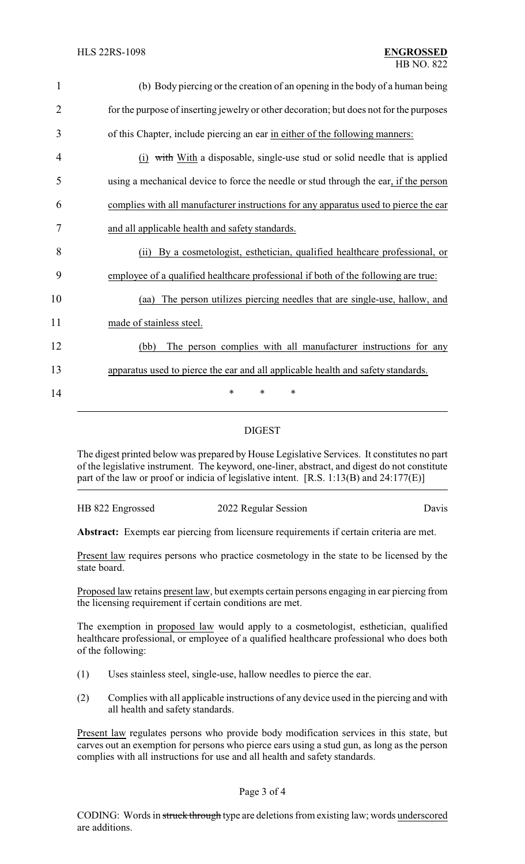| $\mathbf{1}$   | (b) Body piercing or the creation of an opening in the body of a human being            |
|----------------|-----------------------------------------------------------------------------------------|
| $\overline{2}$ | for the purpose of inserting jewelry or other decoration; but does not for the purposes |
| 3              | of this Chapter, include piercing an ear in either of the following manners:            |
| 4              | (i) with With a disposable, single-use stud or solid needle that is applied             |
| 5              | using a mechanical device to force the needle or stud through the ear, if the person    |
| 6              | complies with all manufacturer instructions for any apparatus used to pierce the ear    |
| 7              | and all applicable health and safety standards.                                         |
| 8              | By a cosmetologist, esthetician, qualified healthcare professional, or<br>(i)           |
| 9              | employee of a qualified healthcare professional if both of the following are true:      |
| 10             | The person utilizes piercing needles that are single-use, hallow, and<br>(aa)           |
| 11             | made of stainless steel.                                                                |
| 12             | The person complies with all manufacturer instructions for any<br>(bb)                  |
| 13             | apparatus used to pierce the ear and all applicable health and safety standards.        |
| 14             | *<br>∗<br>$\ast$                                                                        |

### DIGEST

The digest printed below was prepared by House Legislative Services. It constitutes no part of the legislative instrument. The keyword, one-liner, abstract, and digest do not constitute part of the law or proof or indicia of legislative intent. [R.S. 1:13(B) and 24:177(E)]

HB 822 Engrossed 2022 Regular Session Davis

**Abstract:** Exempts ear piercing from licensure requirements if certain criteria are met.

Present law requires persons who practice cosmetology in the state to be licensed by the state board.

Proposed law retains present law, but exempts certain persons engaging in ear piercing from the licensing requirement if certain conditions are met.

The exemption in proposed law would apply to a cosmetologist, esthetician, qualified healthcare professional, or employee of a qualified healthcare professional who does both of the following:

- (1) Uses stainless steel, single-use, hallow needles to pierce the ear.
- (2) Complies with all applicable instructions of any device used in the piercing and with all health and safety standards.

Present law regulates persons who provide body modification services in this state, but carves out an exemption for persons who pierce ears using a stud gun, as long as the person complies with all instructions for use and all health and safety standards.

#### Page 3 of 4

CODING: Words in struck through type are deletions from existing law; words underscored are additions.